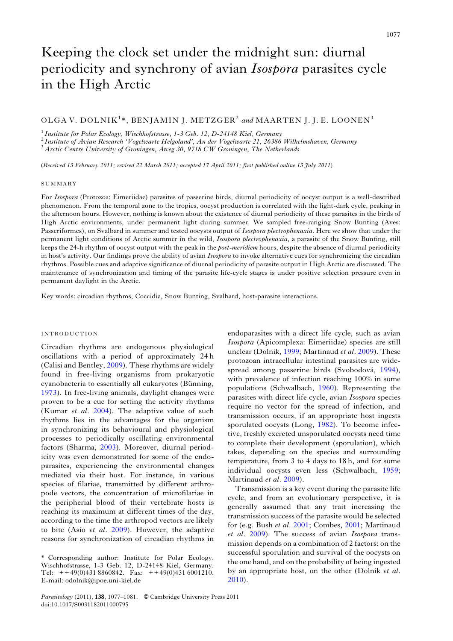# Keeping the clock set under the midnight sun: diurnal periodicity and synchrony of avian Isospora parasites cycle in the High Arctic

# OLGA V. DOLNIK<sup>1</sup>\*, BENJAMIN J. METZGER<sup>2</sup> and MAARTEN J. J. E. LOONEN<sup>3</sup>

<sup>1</sup> Institute for Polar Ecology, Wischhofstrasse, 1-3 Geb. 12, D-24148 Kiel, Germany<br><sup>2</sup> Institute of Avian Research 'Vogelwarte Helgoland', An der Vogelwarte 21, 26386 Wilhelmshaven, Germany<br><sup>3</sup> Arctic Centre University

(Received 15 February 2011; revised 22 March 2011; accepted 17 April 2011; first published online 15 July 2011)

#### SUMMARY

For Isospora (Protozoa: Eimeriidae) parasites of passerine birds, diurnal periodicity of oocyst output is a well-described phenomenon. From the temporal zone to the tropics, oocyst production is correlated with the light-dark cycle, peaking in the afternoon hours. However, nothing is known about the existence of diurnal periodicity of these parasites in the birds of High Arctic environments, under permanent light during summer. We sampled free-ranging Snow Bunting (Aves: Passeriformes), on Svalbard in summer and tested oocysts output of *Isospora plectrophenaxia*. Here we show that under the permanent light conditions of Arctic summer in the wild, Isospora plectrophenaxia, a parasite of the Snow Bunting, still keeps the 24-h rhythm of oocyst output with the peak in the *post-meridiem* hours, despite the absence of diurnal periodicity in host's activity. Our findings prove the ability of avian Isospora to invoke alternative cues for synchronizing the circadian rhythms. Possible cues and adaptive significance of diurnal periodicity of parasite output in High Arctic are discussed. The maintenance of synchronization and timing of the parasite life-cycle stages is under positive selection pressure even in permanent daylight in the Arctic.

Key words: circadian rhythms, Coccidia, Snow Bunting, Svalbard, host-parasite interactions.

## INTRODUCTION

Circadian rhythms are endogenous physiological oscillations with a period of approximately 24 h (Calisi and Bentley, [2009](#page-4-0)). These rhythms are widely found in free-living organisms from prokaryotic cyanobacteria to essentially all eukaryotes (Bünning, [1973\)](#page-4-0). In free-living animals, daylight changes were proven to be a cue for setting the activity rhythms (Kumar et al. [2004](#page-4-0)). The adaptive value of such rhythms lies in the advantages for the organism in synchronizing its behavioural and physiological processes to periodically oscillating environmental factors (Sharma, [2003](#page-4-0)). Moreover, diurnal periodicity was even demonstrated for some of the endoparasites, experiencing the environmental changes mediated via their host. For instance, in various species of filariae, transmitted by different arthropode vectors, the concentration of microfilariae in the peripherial blood of their vertebrate hosts is reaching its maximum at different times of the day, according to the time the arthropod vectors are likely to bite (Asio et al. [2009](#page-4-0)). However, the adaptive reasons for synchronization of circadian rhythms in endoparasites with a direct life cycle, such as avian Isospora (Apicomplexa: Eimeriidae) species are still unclear (Dolnik, [1999](#page-4-0); Martinaud et al. [2009\)](#page-4-0). These protozoan intracellular intestinal parasites are widespread among passerine birds (Svobodová, [1994\)](#page-4-0), with prevalence of infection reaching 100% in some populations (Schwalbach, [1960\)](#page-4-0). Representing the parasites with direct life cycle, avian Isospora species require no vector for the spread of infection, and transmission occurs, if an appropriate host ingests sporulated oocysts (Long, [1982\)](#page-4-0). To become infective, freshly excreted unsporulated oocysts need time to complete their development (sporulation), which takes, depending on the species and surrounding temperature, from 3 to 4 days to 18 h, and for some individual oocysts even less (Schwalbach, [1959](#page-4-0); Martinaud et al. [2009](#page-4-0)).

Transmission is a key event during the parasite life cycle, and from an evolutionary perspective, it is generally assumed that any trait increasing the transmission success of the parasite would be selected for (e.g. Bush et al. [2001;](#page-4-0) Combes, [2001;](#page-4-0) Martinaud et al. [2009](#page-4-0)). The success of avian Isospora transmission depends on a combination of 2 factors: on the successful sporulation and survival of the oocysts on the one hand, and on the probability of being ingested by an appropriate host, on the other (Dolnik et al. [2010\)](#page-4-0).

<sup>\*</sup> Corresponding author: Institute for Polar Ecology, Wischhofstrasse, 1-3 Geb. 12, D-24148 Kiel, Germany. Tel: ++ 49(0)431 8860842. Fax: ++ 49(0)431 6001210. E-mail: odolnik@ipoe.uni-kiel.de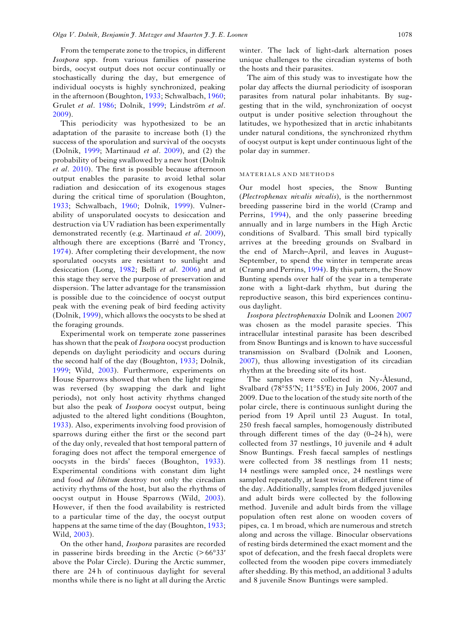From the temperate zone to the tropics, in different Isospora spp. from various families of passerine birds, oocyst output does not occur continually or stochastically during the day, but emergence of individual oocysts is highly synchronized, peaking in the afternoon (Boughton, [1933](#page-4-0); Schwalbach, [1960](#page-4-0); Grulet et al. [1986](#page-4-0); Dolnik, [1999;](#page-4-0) Lindström et al. [2009](#page-4-0)).

This periodicity was hypothesized to be an adaptation of the parasite to increase both (1) the success of the sporulation and survival of the oocysts (Dolnik,  $1999$ ; Martinaud *et al.* [2009](#page-4-0)), and (2) the probability of being swallowed by a new host (Dolnik et al. [2010\)](#page-4-0). The first is possible because afternoon output enables the parasite to avoid lethal solar radiation and desiccation of its exogenous stages during the critical time of sporulation (Boughton, [1933](#page-4-0); Schwalbach, [1960](#page-4-0); Dolnik, [1999\)](#page-4-0). Vulnerability of unsporulated oocysts to desiccation and destruction via UV radiation has been experimentally demonstrated recently (e.g. Martinaud et al. [2009\)](#page-4-0), although there are exceptions (Barré and Troncy, [1974](#page-4-0)). After completing their development, the now sporulated oocysts are resistant to sunlight and desiccation (Long, [1982;](#page-4-0) Belli et al. [2006](#page-4-0)) and at this stage they serve the purpose of preservation and dispersion. The latter advantage for the transmission is possible due to the coincidence of oocyst output peak with the evening peak of bird feeding activity (Dolnik, [1999](#page-4-0)), which allows the oocysts to be shed at the foraging grounds.

Experimental work on temperate zone passerines has shown that the peak of *Isospora* oocyst production depends on daylight periodicity and occurs during the second half of the day (Boughton, [1933;](#page-4-0) Dolnik, [1999](#page-4-0); Wild, [2003\)](#page-4-0). Furthermore, experiments on House Sparrows showed that when the light regime was reversed (by swapping the dark and light periods), not only host activity rhythms changed but also the peak of Isospora oocyst output, being adjusted to the altered light conditions (Boughton, [1933](#page-4-0)). Also, experiments involving food provision of sparrows during either the first or the second part of the day only, revealed that host temporal pattern of foraging does not affect the temporal emergence of oocysts in the birds' faeces (Boughton, [1933\)](#page-4-0). Experimental conditions with constant dim light and food ad libitum destroy not only the circadian activity rhythms of the host, but also the rhythms of oocyst output in House Sparrows (Wild, [2003\)](#page-4-0). However, if then the food availability is restricted to a particular time of the day, the oocyst output happens at the same time of the day (Boughton, [1933](#page-4-0); Wild, [2003](#page-4-0)).

On the other hand, Isospora parasites are recorded in passerine birds breeding in the Arctic  $($ >66°33′ above the Polar Circle). During the Arctic summer, there are 24 h of continuous daylight for several months while there is no light at all during the Arctic winter. The lack of light-dark alternation poses unique challenges to the circadian systems of both the hosts and their parasites.

The aim of this study was to investigate how the polar day affects the diurnal periodicity of isosporan parasites from natural polar inhabitants. By suggesting that in the wild, synchronization of oocyst output is under positive selection throughout the latitudes, we hypothesized that in arctic inhabitants under natural conditions, the synchronized rhythm of oocyst output is kept under continuous light of the polar day in summer.

#### MATERIALS AND METHODS

Our model host species, the Snow Bunting (Plectrophenax nivalis nivalis), is the northernmost breeding passerine bird in the world (Cramp and Perrins, [1994\)](#page-4-0), and the only passerine breeding annually and in large numbers in the High Arctic conditions of Svalbard. This small bird typically arrives at the breeding grounds on Svalbard in the end of March–April, and leaves in August– September, to spend the winter in temperate areas (Cramp and Perrins, [1994\)](#page-4-0). By this pattern, the Snow Bunting spends over half of the year in a temperate zone with a light-dark rhythm, but during the reproductive season, this bird experiences continuous daylight.

Isospora plectrophenaxia Dolnik and Loonen [2007](#page-4-0) was chosen as the model parasite species. This intracellular intestinal parasite has been described from Snow Buntings and is known to have successful transmission on Svalbard (Dolnik and Loonen, [2007](#page-4-0)), thus allowing investigation of its circadian rhythm at the breeding site of its host.

The samples were collected in Ny-Ålesund, Svalbard (78°55′N; 11°55′E) in July 2006, 2007 and 2009. Due to the location of the study site north of the polar circle, there is continuous sunlight during the period from 19 April until 23 August. In total, 250 fresh faecal samples, homogenously distributed through different times of the day  $(0-24 h)$ , were collected from 37 nestlings, 10 juvenile and 4 adult Snow Buntings. Fresh faecal samples of nestlings were collected from 38 nestlings from 11 nests; 14 nestlings were sampled once, 24 nestlings were sampled repeatedly, at least twice, at different time of the day. Additionally, samples from fledged juveniles and adult birds were collected by the following method. Juvenile and adult birds from the village population often rest alone on wooden covers of pipes, ca. 1 m broad, which are numerous and stretch along and across the village. Binocular observations of resting birds determined the exact moment and the spot of defecation, and the fresh faecal droplets were collected from the wooden pipe covers immediately after shedding. By this method, an additional 3 adults and 8 juvenile Snow Buntings were sampled.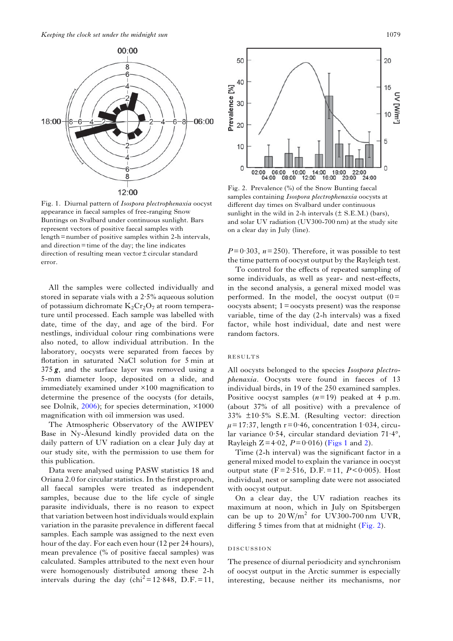

Fig. 1. Diurnal pattern of Isospora plectrophenaxia oocyst appearance in faecal samples of free-ranging Snow Buntings on Svalbard under continuous sunlight. Bars represent vectors of positive faecal samples with length= number of positive samples within 2-h intervals, and direction= time of the day; the line indicates direction of resulting mean vector± circular standard error.

All the samples were collected individually and stored in separate vials with a 2·5% aqueous solution of potassium dichromate  $K_2Cr_2O_7$  at room temperature until processed. Each sample was labelled with date, time of the day, and age of the bird. For nestlings, individual colour ring combinations were also noted, to allow individual attribution. In the laboratory, oocysts were separated from faeces by flotation in saturated NaCl solution for 5 min at <sup>375</sup> *g*, and the surface layer was removed using a 5-mm diameter loop, deposited on a slide, and immediately examined under ×100 magnification to determine the presence of the oocysts (for details, see Dolnik, [2006\)](#page-4-0); for species determination, ×1000 magnification with oil immersion was used.

The Atmospheric Observatory of the AWIPEV Base in Ny-Ålesund kindly provided data on the daily pattern of UV radiation on a clear July day at our study site, with the permission to use them for this publication.

Data were analysed using PASW statistics 18 and Oriana 2.0 for circular statistics. In the first approach, all faecal samples were treated as independent samples, because due to the life cycle of single parasite individuals, there is no reason to expect that variation between host individuals would explain variation in the parasite prevalence in different faecal samples. Each sample was assigned to the next even hour of the day. For each even hour (12 per 24 hours), mean prevalence (% of positive faecal samples) was calculated. Samples attributed to the next even hour were homogenously distributed among these 2-h intervals during the day  $\text{(chi}^2 = 12.848, \text{ D.F.} = 11,$ 



Fig. 2. Prevalence (%) of the Snow Bunting faecal samples containing Isospora plectrophenaxia oocysts at different day times on Svalbard under continuous sunlight in the wild in 2-h intervals  $(\pm S.E.M.)$  (bars), and solar UV radiation (UV300-700 nm) at the study site on a clear day in July (line).

 $P= 0.303$ ,  $n= 250$ ). Therefore, it was possible to test the time pattern of oocyst output by the Rayleigh test.

To control for the effects of repeated sampling of some individuals, as well as year- and nest-effects, in the second analysis, a general mixed model was performed. In the model, the oocyst output  $(0=$ oocysts absent; 1= oocysts present) was the response variable, time of the day (2-h intervals) was a fixed factor, while host individual, date and nest were random factors.

## RESULTS

All oocysts belonged to the species Isospora plectrophenaxia. Oocysts were found in faeces of 13 individual birds, in 19 of the 250 examined samples. Positive oocyst samples  $(n=19)$  peaked at 4 p.m. (about 37% of all positive) with a prevalence of 33% ±10·5% S.E.M. (Resulting vector: direction  $\mu$ = 17:37, length r = 0·46, concentration 1·034, circular variance 0·54, circular standard deviation 71·4°, Rayleigh  $Z=4.02$ ,  $P=0.016$ ) (Figs 1 and 2).

Time (2-h interval) was the significant factor in a general mixed model to explain the variance in oocyst output state (F=2.516, D.F.=11,  $P < 0.005$ ). Host individual, nest or sampling date were not associated with oocyst output.

On a clear day, the UV radiation reaches its maximum at noon, which in July on Spitsbergen can be up to  $20 \text{ W/m}^2$  for UV300-700 nm UVR, differing 5 times from that at midnight (Fig. 2).

#### DISCUSSION

The presence of diurnal periodicity and synchronism of oocyst output in the Arctic summer is especially interesting, because neither its mechanisms, nor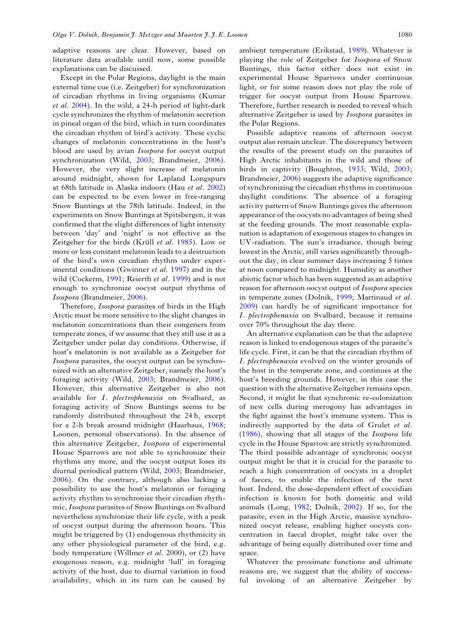adaptive reasons are clear. However, based on literature data available until now, some possible explanations can be discussed.

Except in the Polar Regions, daylight is the main external time cue (i.e. Zeitgeber) for synchronization of circadian rhythms in living organisms (Kumar et al. [2004\)](#page-4-0). In the wild, a 24-h period of light-dark cycle synchronizes the rhythm of melatonin secretion in pineal organ of the bird, which in turn coordinates the circadian rhythm of bird's activity. These cyclic changes of melatonin concentrations in the host's blood are used by avian Isospora for oocyst output synchronization (Wild, [2003;](#page-4-0) Brandmeier, [2006\)](#page-4-0). However, the very slight increase of melatonin around midnight, shown for Lapland Longspurs at 68th latitude in Alaska indoors (Hau et al. [2002\)](#page-4-0) can be expected to be even lower in free-ranging Snow Buntings at the 78th latitude. Indeed, in the experiments on Snow Buntings at Spitsbergen, it was confirmed that the slight differences of light intensity between 'day' and 'night' is not effective as the Zeitgeber for the birds (Krüll et al. [1985](#page-4-0)). Low or more or less constant melatonin leads to a destruction of the bird's own circadian rhythm under exper-imental conditions (Gwinner et al. [1997\)](#page-4-0) and in the wild (Cockerm, [1991;](#page-4-0) Reierth et al. [1999\)](#page-4-0) and is not enough to synchronize oocyst output rhythms of Isospora (Brandmeier, [2006\)](#page-4-0).

Therefore, Isospora parasites of birds in the High Arctic must be more sensitive to the slight changes in melatonin concentrations than their congeners from temperate zones, if we assume that they still use it as a Zeitgeber under polar day conditions. Otherwise, if host's melatonin is not available as a Zeitgeber for Isospora parasites, the oocyst output can be synchronized with an alternative Zeitgeber, namely the host's foraging activity (Wild, [2003;](#page-4-0) Brandmeier, [2006\)](#page-4-0). However, this alternative Zeitgeber is also not available for I. plectrophenaxia on Svalbard, as foraging activity of Snow Buntings seems to be randomly distributed throughout the 24 h, except for a 2-h break around midnight (Haarhaus, [1968](#page-4-0); Loonen, personal observations). In the absence of this alternative Zeitgeber, Isospora of experimental House Sparrows are not able to synchronize their rhythms any more, and the oocyst output loses its diurnal periodical pattern (Wild, [2003](#page-4-0); Brandmeier, [2006](#page-4-0)). On the contrary, although also lacking a possibility to use the host's melatonin or foraging activity rhythm to synchronize their circadian rhythmic, Isospora parasites of Snow Buntings on Svalbard nevertheless synchronize their life cycle, with a peak of oocyst output during the afternoon hours. This might be triggered by (1) endogenous rhythmicity in any other physiological parameter of the bird, e.g. body temperature (Willmer et al. 2000), or (2) have exogenous reason, e.g. midnight 'lull' in foraging activity of the host, due to diurnal variation in food availability, which in its turn can be caused by

ambient temperature (Erikstad, [1989](#page-4-0)). Whatever is playing the role of Zeitgeber for Isospora of Snow Buntings, this factor either does not exist in experimental House Sparrows under continuous light, or for some reason does not play the role of trigger for oocyst output from House Sparrows. Therefore, further research is needed to reveal which alternative Zeitgeber is used by Isospora parasites in the Polar Regions.

Possible adaptive reasons of afternoon oocyst output also remain unclear. The discrepancy between the results of the present study on the parasites of High Arctic inhabitants in the wild and those of birds in captivity (Boughton, [1933;](#page-4-0) Wild, [2003](#page-4-0); Brandmeier, [2006\)](#page-4-0) suggests the adaptive significance of synchronizing the circadian rhythms in continuous daylight conditions. The absence of a foraging activity pattern of Snow Buntings gives the afternoon appearance of the oocysts no advantages of being shed at the feeding grounds. The most reasonable explanation is adaptation of exogenous stages to changes in UV-radiation. The sun's irradiance, though being lowest in the Arctic, still varies significantly throughout the day, in clear summer days increasing 5 times at noon compared to midnight. Humidity as another abiotic factor which has been suggested as an adaptive reason for afternoon oocyst output of Isospora species in temperate zones (Dolnik, [1999](#page-4-0); Martinaud et al. [2009](#page-4-0)) can hardly be of significant importance for I. plectrophenaxia on Svalbard, because it remains over 70% throughout the day there.

An alternative explanation can be that the adaptive reason is linked to endogenous stages of the parasite's life cycle. First, it can be that the circadian rhythm of I. plectrophenaxia evolved on the winter grounds of the host in the temperate zone, and continues at the host's breeding grounds. However, in this case the question with the alternative Zeitgeber remains open. Second, it might be that synchronic re-colonization of new cells during merogony has advantages in the fight against the host's immune system. This is indirectly supported by the data of Grulet et al. ([1986\)](#page-4-0), showing that all stages of the Isospora life cycle in the House Sparrow are strictly synchronized. The third possible advantage of synchronic oocyst output might be that it is crucial for the parasite to reach a high concentration of oocysts in a droplet of faeces, to enable the infection of the next host. Indeed, the dose-dependent effect of coccidian infection is known for both domestic and wild animals (Long, [1982;](#page-4-0) Dolnik, [2002](#page-4-0)). If so, for the parasite, even in the High Arctic, massive synchronized oocyst release, enabling higher oocysts concentration in faecal droplet, might take over the advantage of being equally distributed over time and space.

Whatever the proximate functions and ultimate reasons are, we suggest that the ability of successful invoking of an alternative Zeitgeber by